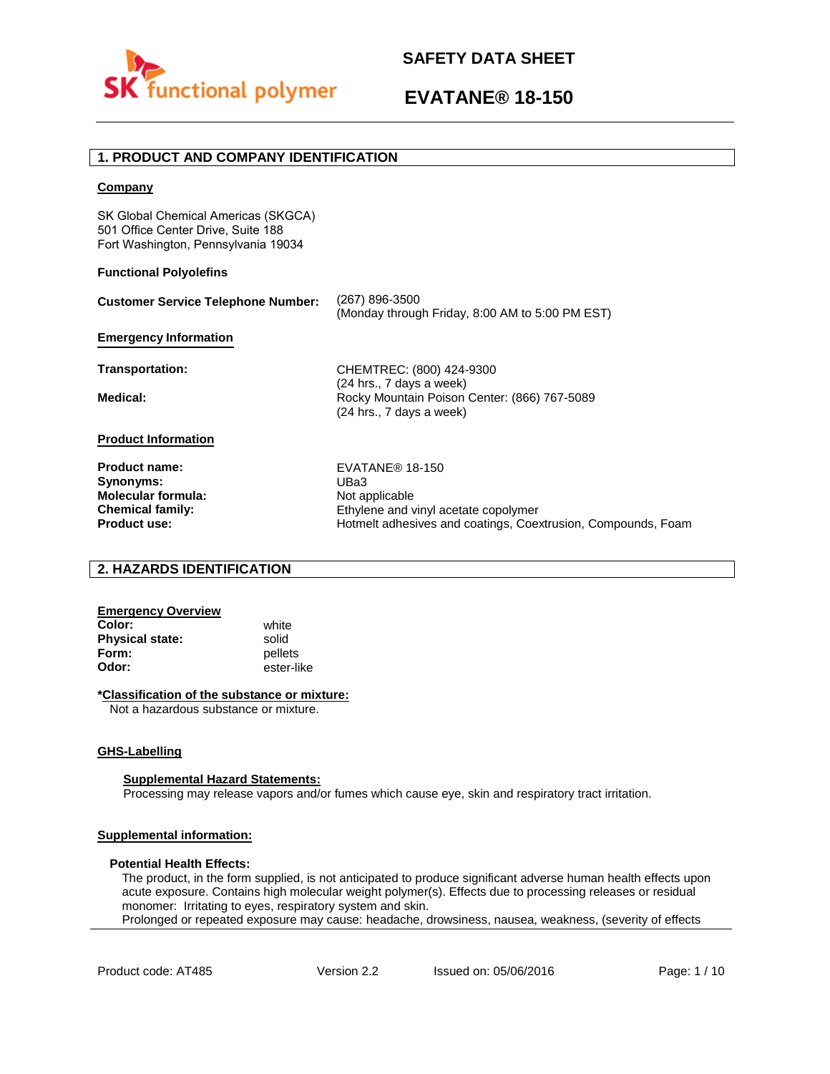

# **EVATANE® 18-150**

# **1. PRODUCT AND COMPANY IDENTIFICATION**

### **Company**

SK Global Chemical Americas (SKGCA) 501 Office Center Drive, Suite 188 Fort Washington, Pennsylvania 19034

### **Functional Polyolefins**

| <b>Customer Service Telephone Number:</b> | (267) 896-3500<br>(Monday through Friday, 8:00 AM to 5:00 PM EST)                                      |
|-------------------------------------------|--------------------------------------------------------------------------------------------------------|
| <b>Emergency Information</b>              |                                                                                                        |
| Transportation:                           | CHEMTREC: (800) 424-9300                                                                               |
| Medical:                                  | $(24$ hrs., 7 days a week)<br>Rocky Mountain Poison Center: (866) 767-5089<br>(24 hrs., 7 days a week) |
| <b>Product Information</b>                |                                                                                                        |
| <b>Product name:</b>                      | EVATANE® 18-150                                                                                        |
| Synonyms:                                 | UBa3                                                                                                   |
| <b>Molecular formula:</b>                 | Not applicable                                                                                         |
| <b>Chemical family:</b>                   | Ethylene and vinyl acetate copolymer                                                                   |
| <b>Product use:</b>                       | Hotmelt adhesives and coatings, Coextrusion, Compounds, Foam                                           |

# **2. HAZARDS IDENTIFICATION**

# **Emergency Overview**

**Color:** white **Physical state:** solid<br> **Form:** nellet **Form:** pellets<br> **Odor:** ester-li

**Odor:** ester-like

## **\*Classification of the substance or mixture:**

Not a hazardous substance or mixture.

## **GHS-Labelling**

### **Supplemental Hazard Statements:**

Processing may release vapors and/or fumes which cause eye, skin and respiratory tract irritation.

# **Supplemental information:**

### **Potential Health Effects:**

The product, in the form supplied, is not anticipated to produce significant adverse human health effects upon acute exposure. Contains high molecular weight polymer(s). Effects due to processing releases or residual monomer: Irritating to eyes, respiratory system and skin. Prolonged or repeated exposure may cause: headache, drowsiness, nausea, weakness, (severity of effects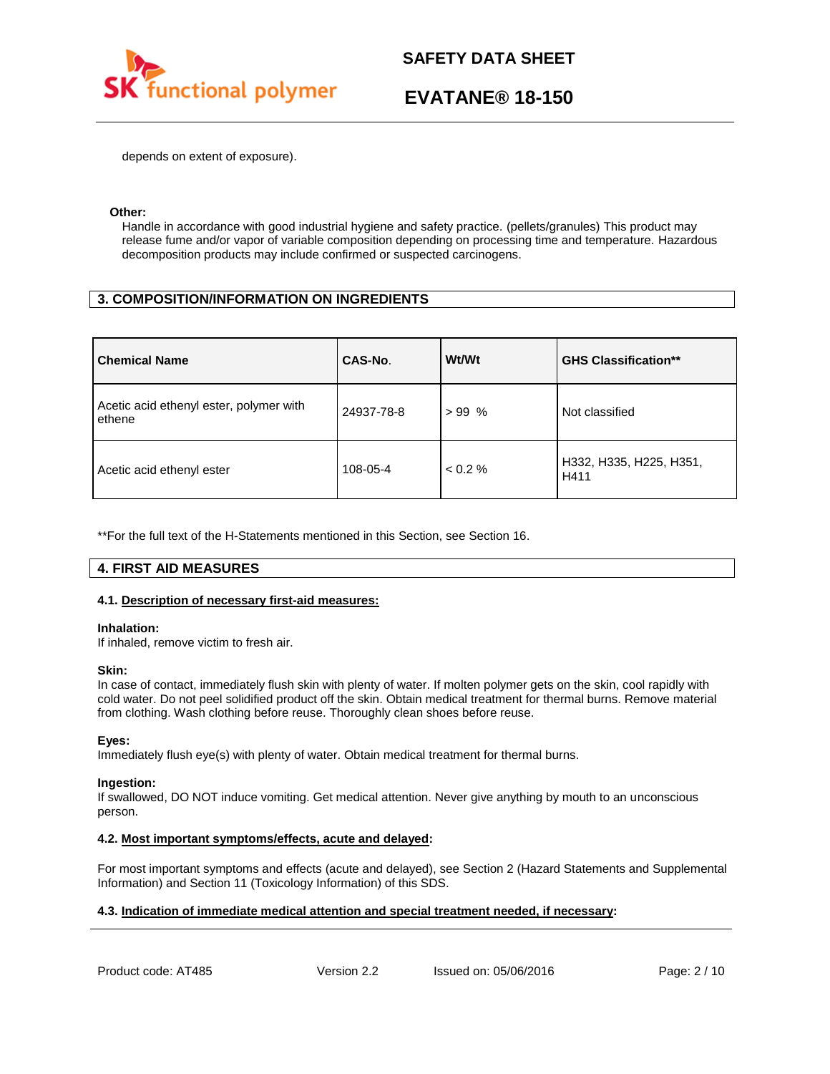

# **EVATANE® 18-150**

depends on extent of exposure).

### **Other:**

Handle in accordance with good industrial hygiene and safety practice. (pellets/granules) This product may release fume and/or vapor of variable composition depending on processing time and temperature. Hazardous decomposition products may include confirmed or suspected carcinogens.

# **3. COMPOSITION/INFORMATION ON INGREDIENTS**

| <b>Chemical Name</b>                              | CAS-No.    | Wt/Wt   | <b>GHS Classification**</b>     |
|---------------------------------------------------|------------|---------|---------------------------------|
| Acetic acid ethenyl ester, polymer with<br>ethene | 24937-78-8 | $>99\%$ | Not classified                  |
| Acetic acid ethenyl ester                         | 108-05-4   | < 0.2 % | H332, H335, H225, H351,<br>H411 |

\*\*For the full text of the H-Statements mentioned in this Section, see Section 16.

# **4. FIRST AID MEASURES**

## **4.1. Description of necessary first-aid measures:**

### **Inhalation:**

If inhaled, remove victim to fresh air.

### **Skin:**

In case of contact, immediately flush skin with plenty of water. If molten polymer gets on the skin, cool rapidly with cold water. Do not peel solidified product off the skin. Obtain medical treatment for thermal burns. Remove material from clothing. Wash clothing before reuse. Thoroughly clean shoes before reuse.

## **Eyes:**

Immediately flush eye(s) with plenty of water. Obtain medical treatment for thermal burns.

### **Ingestion:**

If swallowed, DO NOT induce vomiting. Get medical attention. Never give anything by mouth to an unconscious person.

## **4.2. Most important symptoms/effects, acute and delayed:**

For most important symptoms and effects (acute and delayed), see Section 2 (Hazard Statements and Supplemental Information) and Section 11 (Toxicology Information) of this SDS.

# **4.3. Indication of immediate medical attention and special treatment needed, if necessary:**

Product code: AT485 Version 2.2 Issued on: 05/06/2016 Page: 2/10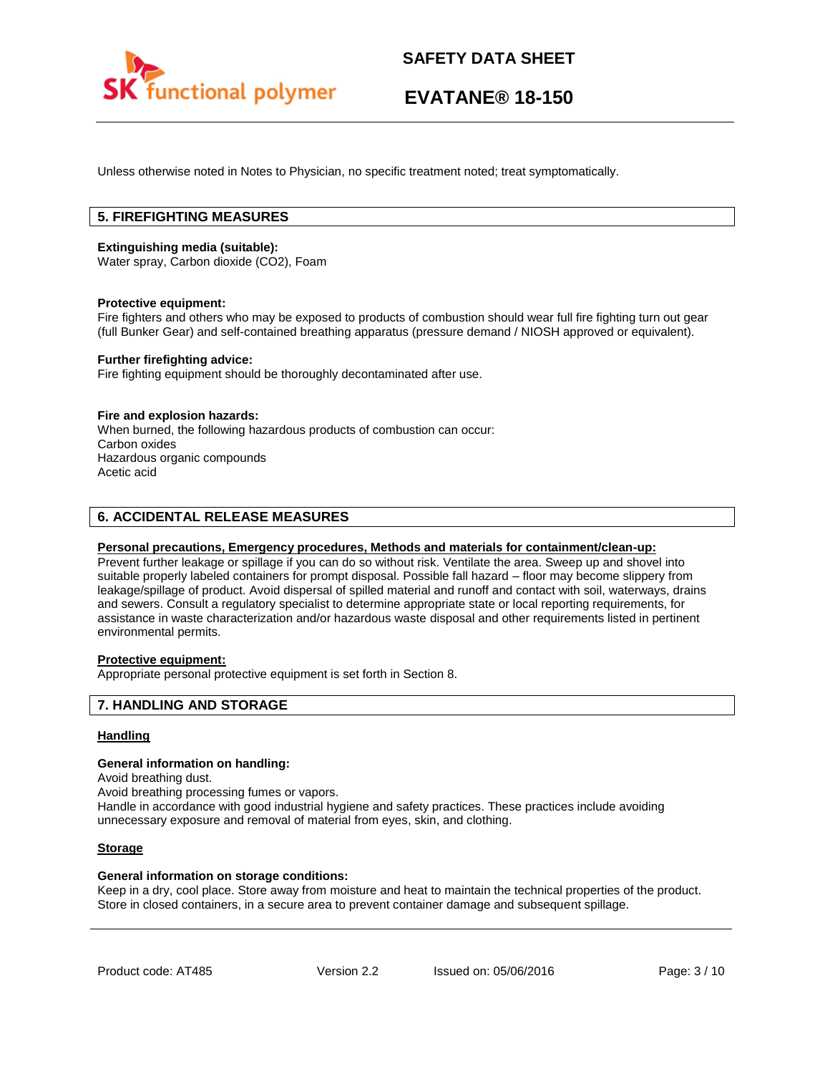

# **EVATANE® 18-150**

Unless otherwise noted in Notes to Physician, no specific treatment noted; treat symptomatically.

# **5. FIREFIGHTING MEASURES**

### **Extinguishing media (suitable):**

Water spray, Carbon dioxide (CO2), Foam

### **Protective equipment:**

Fire fighters and others who may be exposed to products of combustion should wear full fire fighting turn out gear (full Bunker Gear) and self-contained breathing apparatus (pressure demand / NIOSH approved or equivalent).

### **Further firefighting advice:**

Fire fighting equipment should be thoroughly decontaminated after use.

### **Fire and explosion hazards:**

When burned, the following hazardous products of combustion can occur: Carbon oxides Hazardous organic compounds Acetic acid

# **6. ACCIDENTAL RELEASE MEASURES**

### **Personal precautions, Emergency procedures, Methods and materials for containment/clean-up:**

Prevent further leakage or spillage if you can do so without risk. Ventilate the area. Sweep up and shovel into suitable properly labeled containers for prompt disposal. Possible fall hazard – floor may become slippery from leakage/spillage of product. Avoid dispersal of spilled material and runoff and contact with soil, waterways, drains and sewers. Consult a regulatory specialist to determine appropriate state or local reporting requirements, for assistance in waste characterization and/or hazardous waste disposal and other requirements listed in pertinent environmental permits.

# **Protective equipment:**

Appropriate personal protective equipment is set forth in Section 8.

## **7. HANDLING AND STORAGE**

### **Handling**

### **General information on handling:**

Avoid breathing dust.

Avoid breathing processing fumes or vapors.

Handle in accordance with good industrial hygiene and safety practices. These practices include avoiding unnecessary exposure and removal of material from eyes, skin, and clothing.

### **Storage**

### **General information on storage conditions:**

Keep in a dry, cool place. Store away from moisture and heat to maintain the technical properties of the product. Store in closed containers, in a secure area to prevent container damage and subsequent spillage.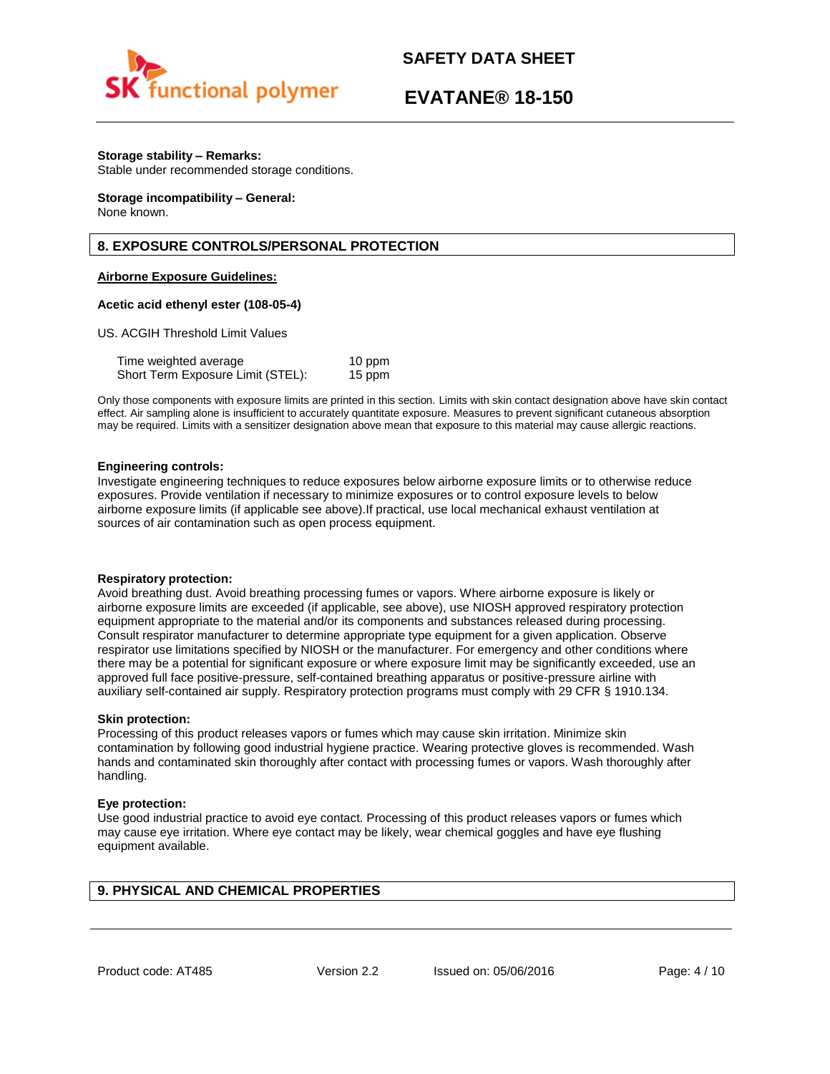

# **EVATANE® 18-150**

## **Storage stability – Remarks:**

Stable under recommended storage conditions.

#### **Storage incompatibility – General:**  None known.

# **8. EXPOSURE CONTROLS/PERSONAL PROTECTION**

# **Airborne Exposure Guidelines:**

## **Acetic acid ethenyl ester (108-05-4)**

US. ACGIH Threshold Limit Values

| Time weighted average             | 10 ppm |
|-----------------------------------|--------|
| Short Term Exposure Limit (STEL): | 15 ppm |

Only those components with exposure limits are printed in this section. Limits with skin contact designation above have skin contact effect. Air sampling alone is insufficient to accurately quantitate exposure. Measures to prevent significant cutaneous absorption may be required. Limits with a sensitizer designation above mean that exposure to this material may cause allergic reactions.

### **Engineering controls:**

Investigate engineering techniques to reduce exposures below airborne exposure limits or to otherwise reduce exposures. Provide ventilation if necessary to minimize exposures or to control exposure levels to below airborne exposure limits (if applicable see above).If practical, use local mechanical exhaust ventilation at sources of air contamination such as open process equipment.

### **Respiratory protection:**

Avoid breathing dust. Avoid breathing processing fumes or vapors. Where airborne exposure is likely or airborne exposure limits are exceeded (if applicable, see above), use NIOSH approved respiratory protection equipment appropriate to the material and/or its components and substances released during processing. Consult respirator manufacturer to determine appropriate type equipment for a given application. Observe respirator use limitations specified by NIOSH or the manufacturer. For emergency and other conditions where there may be a potential for significant exposure or where exposure limit may be significantly exceeded, use an approved full face positive-pressure, self-contained breathing apparatus or positive-pressure airline with auxiliary self-contained air supply. Respiratory protection programs must comply with 29 CFR § 1910.134.

### **Skin protection:**

Processing of this product releases vapors or fumes which may cause skin irritation. Minimize skin contamination by following good industrial hygiene practice. Wearing protective gloves is recommended. Wash hands and contaminated skin thoroughly after contact with processing fumes or vapors. Wash thoroughly after handling.

### **Eye protection:**

Use good industrial practice to avoid eye contact. Processing of this product releases vapors or fumes which may cause eye irritation. Where eye contact may be likely, wear chemical goggles and have eye flushing equipment available.

# **9. PHYSICAL AND CHEMICAL PROPERTIES**

Product code: AT485 Version 2.2 Issued on: 05/06/2016 Page: 4/10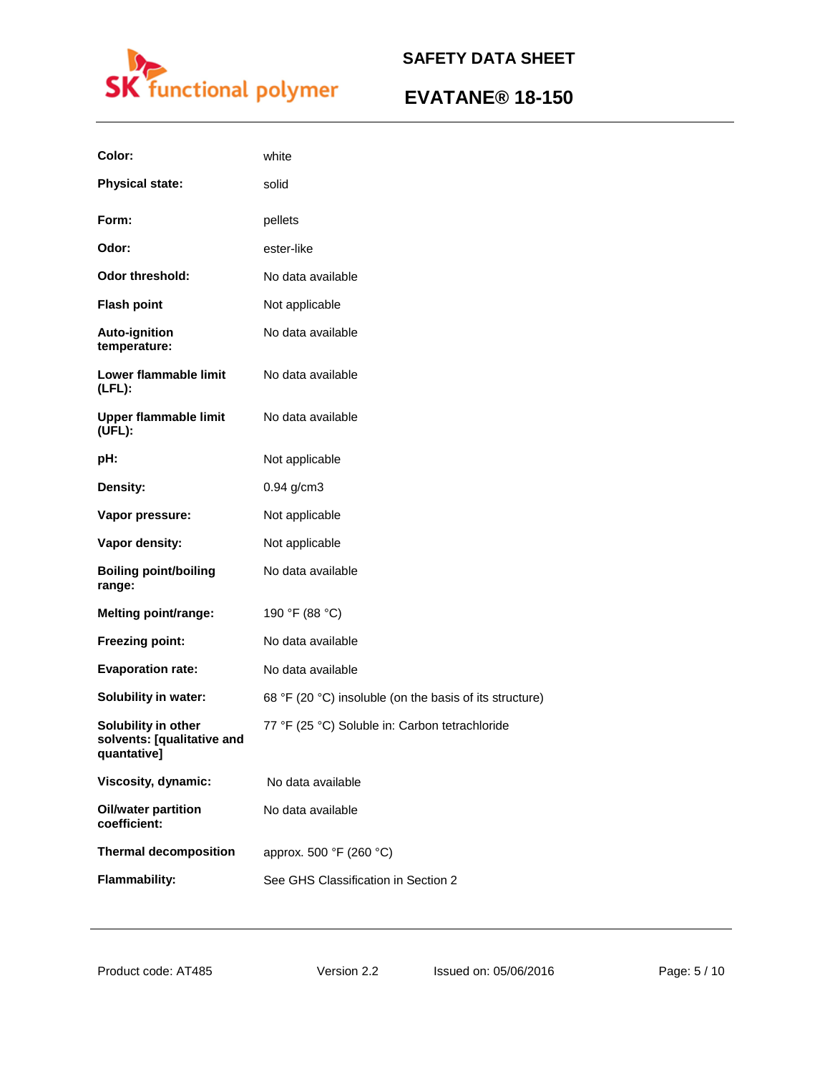

# **EVATANE® 18-150**

| Color:                                                           | white                                                   |
|------------------------------------------------------------------|---------------------------------------------------------|
| <b>Physical state:</b>                                           | solid                                                   |
| Form:                                                            | pellets                                                 |
| Odor:                                                            | ester-like                                              |
| <b>Odor threshold:</b>                                           | No data available                                       |
| <b>Flash point</b>                                               | Not applicable                                          |
| Auto-ignition<br>temperature:                                    | No data available                                       |
| Lower flammable limit<br>$(LFL)$ :                               | No data available                                       |
| <b>Upper flammable limit</b><br>(UFL):                           | No data available                                       |
| pH:                                                              | Not applicable                                          |
| Density:                                                         | 0.94 g/cm3                                              |
| Vapor pressure:                                                  | Not applicable                                          |
| Vapor density:                                                   | Not applicable                                          |
| <b>Boiling point/boiling</b><br>range:                           | No data available                                       |
| <b>Melting point/range:</b>                                      | 190 °F (88 °C)                                          |
| Freezing point:                                                  | No data available                                       |
| <b>Evaporation rate:</b>                                         | No data available                                       |
| <b>Solubility in water:</b>                                      | 68 °F (20 °C) insoluble (on the basis of its structure) |
| Solubility in other<br>solvents: [qualitative and<br>quantative] | 77 °F (25 °C) Soluble in: Carbon tetrachloride          |
| Viscosity, dynamic:                                              | No data available                                       |
| <b>Oil/water partition</b><br>coefficient:                       | No data available                                       |
| <b>Thermal decomposition</b>                                     | approx. 500 °F (260 °C)                                 |
| <b>Flammability:</b>                                             | See GHS Classification in Section 2                     |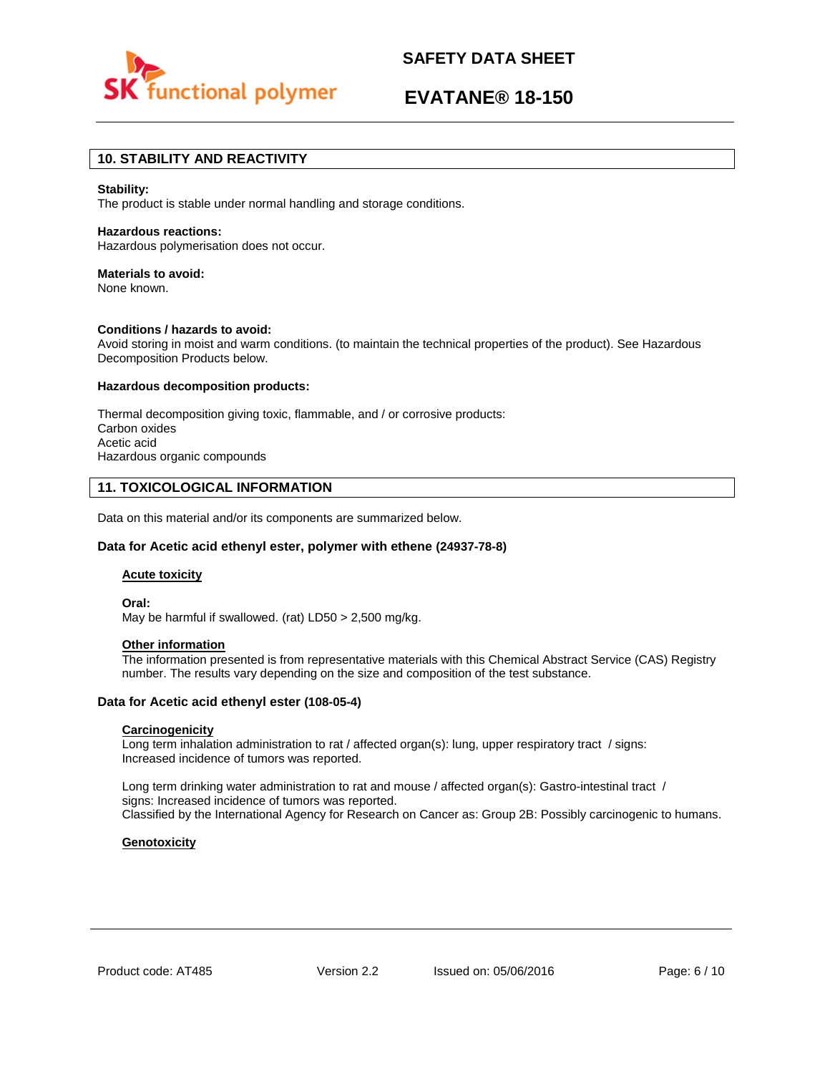

# **EVATANE® 18-150**

# **10. STABILITY AND REACTIVITY**

### **Stability:**

The product is stable under normal handling and storage conditions.

### **Hazardous reactions:**

Hazardous polymerisation does not occur.

# **Materials to avoid:**

None known.

### **Conditions / hazards to avoid:**

Avoid storing in moist and warm conditions. (to maintain the technical properties of the product). See Hazardous Decomposition Products below.

### **Hazardous decomposition products:**

Thermal decomposition giving toxic, flammable, and / or corrosive products: Carbon oxides Acetic acid Hazardous organic compounds

# **11. TOXICOLOGICAL INFORMATION**

Data on this material and/or its components are summarized below.

## **Data for Acetic acid ethenyl ester, polymer with ethene (24937-78-8)**

### **Acute toxicity**

**Oral:**

May be harmful if swallowed. (rat) LD50 > 2,500 mg/kg.

# **Other information**

The information presented is from representative materials with this Chemical Abstract Service (CAS) Registry number. The results vary depending on the size and composition of the test substance.

## **Data for Acetic acid ethenyl ester (108-05-4)**

## **Carcinogenicity**

Long term inhalation administration to rat / affected organ(s): lung, upper respiratory tract / signs: Increased incidence of tumors was reported.

Long term drinking water administration to rat and mouse / affected organ(s): Gastro-intestinal tract / signs: Increased incidence of tumors was reported. Classified by the International Agency for Research on Cancer as: Group 2B: Possibly carcinogenic to humans.

## **Genotoxicity**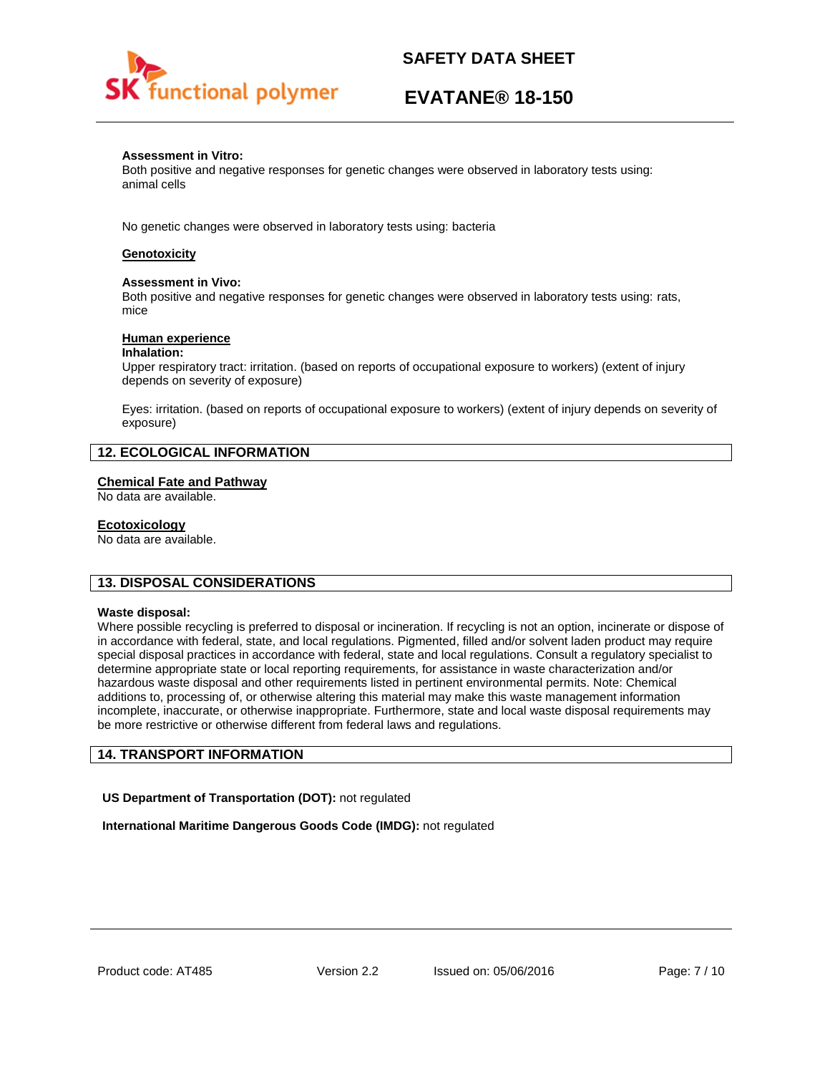

# **EVATANE® 18-150**

### **Assessment in Vitro:**

Both positive and negative responses for genetic changes were observed in laboratory tests using: animal cells

No genetic changes were observed in laboratory tests using: bacteria

# **Genotoxicity**

### **Assessment in Vivo:**

Both positive and negative responses for genetic changes were observed in laboratory tests using: rats, mice

### **Human experience**

### **Inhalation:**

Upper respiratory tract: irritation. (based on reports of occupational exposure to workers) (extent of injury depends on severity of exposure)

Eyes: irritation. (based on reports of occupational exposure to workers) (extent of injury depends on severity of exposure)

# **12. ECOLOGICAL INFORMATION**

### **Chemical Fate and Pathway**

No data are available.

### **Ecotoxicology**

No data are available.

## **13. DISPOSAL CONSIDERATIONS**

### **Waste disposal:**

Where possible recycling is preferred to disposal or incineration. If recycling is not an option, incinerate or dispose of in accordance with federal, state, and local regulations. Pigmented, filled and/or solvent laden product may require special disposal practices in accordance with federal, state and local regulations. Consult a regulatory specialist to determine appropriate state or local reporting requirements, for assistance in waste characterization and/or hazardous waste disposal and other requirements listed in pertinent environmental permits. Note: Chemical additions to, processing of, or otherwise altering this material may make this waste management information incomplete, inaccurate, or otherwise inappropriate. Furthermore, state and local waste disposal requirements may be more restrictive or otherwise different from federal laws and regulations.

# **14. TRANSPORT INFORMATION**

**US Department of Transportation (DOT):** not regulated

**International Maritime Dangerous Goods Code (IMDG):** not regulated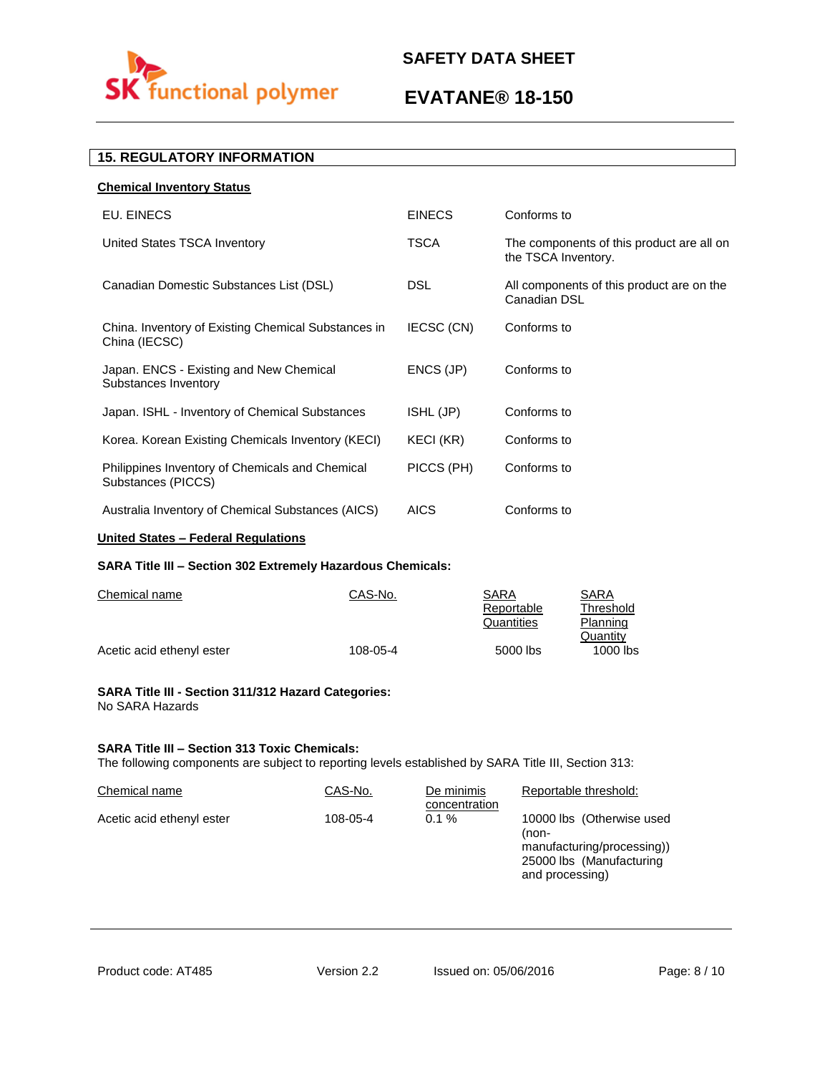

# **EVATANE® 18-150**

# **15. REGULATORY INFORMATION**

| <b>Chemical Inventory Status</b>                                      |               |                                                                  |
|-----------------------------------------------------------------------|---------------|------------------------------------------------------------------|
| EU. EINECS                                                            | <b>EINECS</b> | Conforms to                                                      |
| United States TSCA Inventory                                          | <b>TSCA</b>   | The components of this product are all on<br>the TSCA Inventory. |
| Canadian Domestic Substances List (DSL)                               | <b>DSL</b>    | All components of this product are on the<br>Canadian DSL        |
| China. Inventory of Existing Chemical Substances in<br>China (IECSC)  | IECSC (CN)    | Conforms to                                                      |
| Japan. ENCS - Existing and New Chemical<br>Substances Inventory       | ENCS (JP)     | Conforms to                                                      |
| Japan. ISHL - Inventory of Chemical Substances                        | ISHL (JP)     | Conforms to                                                      |
| Korea. Korean Existing Chemicals Inventory (KECI)                     | KECI (KR)     | Conforms to                                                      |
| Philippines Inventory of Chemicals and Chemical<br>Substances (PICCS) | PICCS (PH)    | Conforms to                                                      |
| Australia Inventory of Chemical Substances (AICS)                     | <b>AICS</b>   | Conforms to                                                      |
|                                                                       |               |                                                                  |

# **United States – Federal Regulations**

# **SARA Title III – Section 302 Extremely Hazardous Chemicals:**

| Chemical name             | CAS-No.  | SARA       | SARA      |
|---------------------------|----------|------------|-----------|
|                           |          | Reportable | Threshold |
|                           |          | Quantities | Planning  |
|                           |          |            | Quantity  |
| Acetic acid ethenyl ester | 108-05-4 | 5000 lbs   | 1000 lbs  |

### **SARA Title III - Section 311/312 Hazard Categories:**  No SARA Hazards

## **SARA Title III – Section 313 Toxic Chemicals:**

The following components are subject to reporting levels established by SARA Title III, Section 313:

| Chemical name             | CAS-No.  | De minimis<br>concentration | Reportable threshold:                                                                                           |
|---------------------------|----------|-----------------------------|-----------------------------------------------------------------------------------------------------------------|
| Acetic acid ethenyl ester | 108-05-4 | $0.1 \%$                    | 10000 lbs (Otherwise used<br>(non-<br>manufacturing/processing))<br>25000 lbs (Manufacturing<br>and processing) |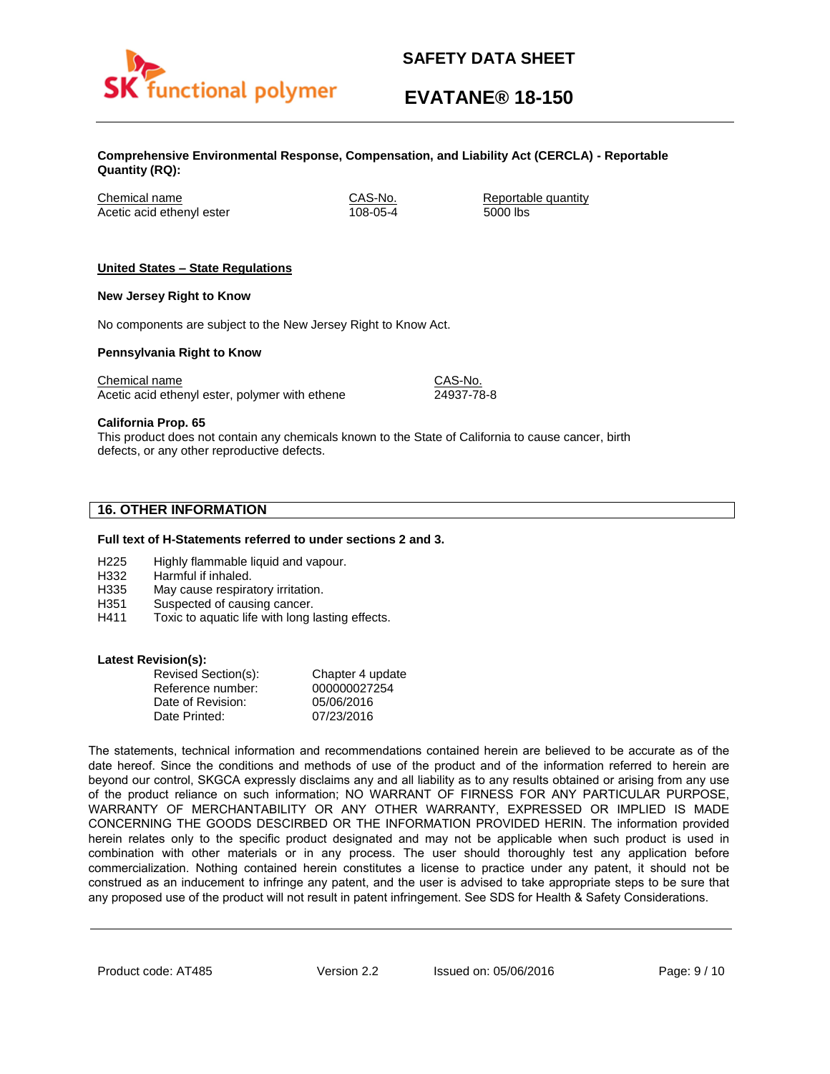

# **EVATANE® 18-150**

**Comprehensive Environmental Response, Compensation, and Liability Act (CERCLA) - Reportable Quantity (RQ):**

Chemical name CAS-No. Reportable quantity Acetic acid ethenyl ester 108-05-4 5000 lbs

# **United States – State Regulations**

### **New Jersey Right to Know**

No components are subject to the New Jersey Right to Know Act.

### **Pennsylvania Right to Know**

Chemical name Chemical name CAS-No. Acetic acid ethenyl ester, polymer with ethene 24937-78-8

**California Prop. 65**

This product does not contain any chemicals known to the State of California to cause cancer, birth defects, or any other reproductive defects.

# **16. OTHER INFORMATION**

### **Full text of H-Statements referred to under sections 2 and 3.**

- H225 Highly flammable liquid and vapour.
- H332 Harmful if inhaled.
- H335 May cause respiratory irritation.
- H351 Suspected of causing cancer.
- H411 Toxic to aquatic life with long lasting effects.

### **Latest Revision(s):**

| Revised Section(s): | Chapter 4 update |
|---------------------|------------------|
| Reference number:   | 000000027254     |
| Date of Revision:   | 05/06/2016       |
| Date Printed:       | 07/23/2016       |

The statements, technical information and recommendations contained herein are believed to be accurate as of the date hereof. Since the conditions and methods of use of the product and of the information referred to herein are beyond our control, SKGCA expressly disclaims any and all liability as to any results obtained or arising from any use of the product reliance on such information; NO WARRANT OF FIRNESS FOR ANY PARTICULAR PURPOSE, WARRANTY OF MERCHANTABILITY OR ANY OTHER WARRANTY, EXPRESSED OR IMPLIED IS MADE CONCERNING THE GOODS DESCIRBED OR THE INFORMATION PROVIDED HERIN. The information provided herein relates only to the specific product designated and may not be applicable when such product is used in combination with other materials or in any process. The user should thoroughly test any application before commercialization. Nothing contained herein constitutes a license to practice under any patent, it should not be construed as an inducement to infringe any patent, and the user is advised to take appropriate steps to be sure that any proposed use of the product will not result in patent infringement. See SDS for Health & Safety Considerations.

Product code: AT485 Version 2.2 Issued on: 05/06/2016 Page: 9/10